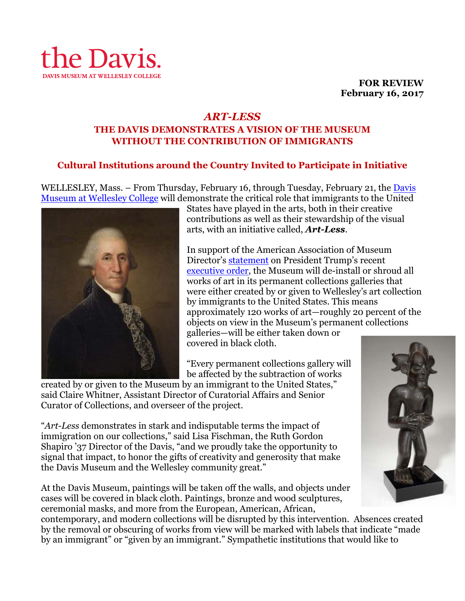

**FOR REVIEW February 16, 2017**

## *ART-LESS* **THE DAVIS DEMONSTRATES A VISION OF THE MUSEUM WITHOUT THE CONTRIBUTION OF IMMIGRANTS**

# **Cultural Institutions around the Country Invited to Participate in Initiative**

WELLESLEY, Mass. – From Thursday, February 16, through Tuesday, February 21, the Davis Museum at Wellesley College will demonstrate the critical role that immigrants to the United



States have played in the arts, both in their creative contributions as well as their stewardship of the visual arts, with an initiative called, *Art-Less*.

In support of the American Association of Museum Director's statement on President Trump's recent executive order, the Museum will de-install or shroud all works of art in its permanent collections galleries that were either created by or given to Wellesley's art collection by immigrants to the United States. This means approximately 120 works of art—roughly 20 percent of the objects on view in the Museum's permanent collections galleries—will be either taken down or

covered in black cloth.

"Every permanent collections gallery will be affected by the subtraction of works

created by or given to the Museum by an immigrant to the United States," said Claire Whitner, Assistant Director of Curatorial Affairs and Senior Curator of Collections, and overseer of the project.

"*Art-Less* demonstrates in stark and indisputable terms the impact of immigration on our collections," said Lisa Fischman, the Ruth Gordon Shapiro '37 Director of the Davis, "and we proudly take the opportunity to signal that impact, to honor the gifts of creativity and generosity that make the Davis Museum and the Wellesley community great."

At the Davis Museum, paintings will be taken off the walls, and objects under cases will be covered in black cloth. Paintings, bronze and wood sculptures, ceremonial masks, and more from the European, American, African,

contemporary, and modern collections will be disrupted by this intervention. Absences created by the removal or obscuring of works from view will be marked with labels that indicate "made by an immigrant" or "given by an immigrant." Sympathetic institutions that would like to